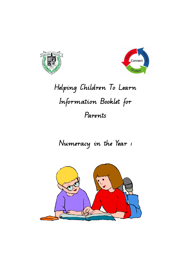



# **Helping Children To Learn Information Booklet for Parents**

**Numeracy in the Year 1** 

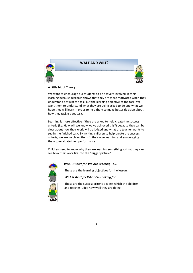

# **WALT AND WILF?**



## **A Lile bit of Theory..**

We want to encourage our students to be actively involved in their learning because research shows that they are more motivated when they understand not just the task but the learning objective of the task. We want them to understand what they are being asked to do and what we hope they will learn in order to help them to make better decision about how they tackle a set task.

Learning is more effective if they are asked to help create the success criteria (i.e. How will we know we've achieved this?) because they can be clear about how their work will be judged and what the teacher wants to see in the finished task. By inviting children to help create the success criteria, we are involving them in their own learning and encouraging them to evaluate their performance.

Children need to know why they are learning something so that they can see how their work fits into the "bigger picture".



 *WALT is short for We Are Learning To…* 

These are the learning objectives for the lesson.

 *WILF is short for What I'm Looking for…* 

 These are the success criteria against which the children and teacher judge how well they are doing.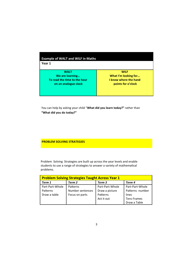| <b>Example of WALT and WILF in Maths</b><br>Year 1 |                       |
|----------------------------------------------------|-----------------------|
| <b>WALT</b>                                        | <b>WILF</b>           |
| We are learning                                    | What I'm looking for  |
| To read the time to the hour                       | I know where the hand |
| on an analogue clock                               | points for o'clock    |

You can help by asking your child "**What did you learn today?"** rather than **"What did you do today?"**

**PROBLEM SOLVING STRATEGIES** 

Problem Solving Strategies are built up across the year levels and enable students to use a range of strategies to answer a variety of mathematical problems.

| <b>Problem Solving Strategies Taught Across Year 1</b> |                  |                 |                    |  |
|--------------------------------------------------------|------------------|-----------------|--------------------|--|
| Term 1                                                 | Term 2           | Term 3          | Term 4             |  |
| Part-Part-Whole                                        | Patterns         | Part-Part-Whole | Part-Part-Whole    |  |
| Patterns                                               | Number sentences | Draw a picture  | Patterns -number   |  |
| Draw a table                                           | Focus on parts   | Patterns        | lines              |  |
|                                                        |                  | Act it out      | <b>Tens Frames</b> |  |
|                                                        |                  |                 | Draw a Table       |  |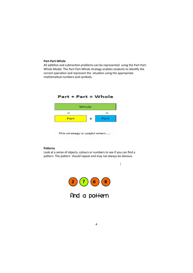## **Part-Part-Whole**

All addition and subtraction problems can be represented using the Part-Part-Whole Model. The Part-Part-Whole strategy enables students to identify the correct operation and represent the situation using the appropriate mathematical numbers and symbols.



This strategy is useful when.....

## **Patterns**

Look at a series of objects, colours or numbers to see if you can find a pattern. The pattern should repeat and may not always be obvious.

 $\overline{1}$ 

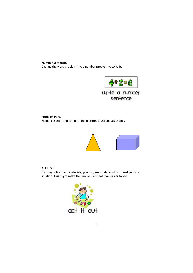#### **Number Sentences**

Change the word problem into a number problem to solve it.



## **Focus on Parts**

Name, describe and compare the features of 2D and 3D shapes.



## **Act It Out**

By using actions and materials, you may see a relationship to lead you to a solution. This might make the problem and solution easier to see.

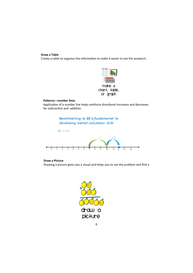## **Draw a Table**

Create a table to organise the information to make it easier to see the answer/s.



## Patterns—number lines

Application of a number line helps reinforce directional increases and decreases for subtraction and addition.

> Benchmarking to 10 is fundamental to developing mental calculation skills



# **Draw a Picture**

Drawing a picture gives you a visual and helps you to see the problem and find a

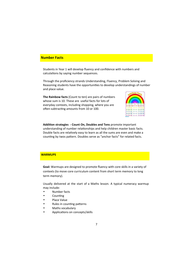## **Number Facts**

Students in Year 1 will develop fluency and confidence with numbers and calculations by saying number sequences.

Through the proficiency strands Understanding, Fluency, Problem Solving and Reasoning students have the opportunities to develop understandings of number and place value.

**The Rainbow facts** (Count to ten) are pairs of numbers whose sum is 10. These are useful facts for lots of everyday contexts, including shopping, where you are often subtracting amounts from 10 or 100.



Addition strategies - Count On, Doubles and Tens promote important understanding of number relationships and help children master basic facts. Double facts are relatively easy to learn as all the sums are even and make a counting by twos pattern. Doubles serve as "anchor facts" for related facts.

## **WARMUPS**

**Goal:** Warmups are designed to promote fluency with core skills in a variety of contexts (to move core curriculum content from short term memory to long term memory).

Usually delivered at the start of a Maths lesson. A typical numeracy warmup may include:

- Number facts
- Counting
- Place Value
- Rules in counting patterns
- Maths vocabulary
- Applications on concepts/skills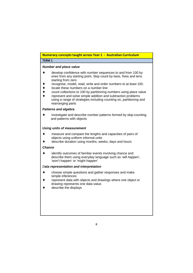# **Numeracy concepts taught across Year 1 - Australian Curriculum**

# **TERM 1**

## **Number and place value**

- ♦ develop confidence with number sequences to and from 100 by ones from any starting point. Skip count by twos, fives and tens starting from zero
- recognise, model, read, write and order numbers to at least 100.
- locate these numbers on a number line
- ♦ count collections to 100 by partitioning numbers using place value
- represent and solve simple addition and subtraction problems using a range of strategies including counting on, partitioning and rearranging parts

## **Patterns and algebra**

♦ investigate and describe number patterns formed by skip-counting and patterns with objects

## **Using units of measurement**

- measure and compare the lengths and capacities of pairs of objects using uniform informal units
- describe duration using months, weeks, days and hours

## **Chance**

identify outcomes of familiar events involving chance and describe them using everyday language such as 'will happen', 'won't happen' or 'might happen'

# D**ata representation and interpretation**

- ♦ choose simple questions and gather responses and make simple inferences
- represent data with objects and drawings where one object or drawing represents one data value.
- $\bullet$  describe the displays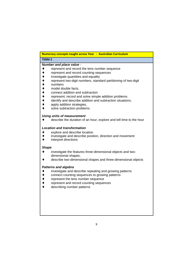# **Numeracy concepts taught across Year - Australian Curriculum**

# **TERM 2**

## **Number and place value** -

- ♦ represent and record the tens number sequence
- ♦ represent and record counting sequences
- ♦ investigate quantities and equality
- represent two-digit numbers, standard partitioning of two-digit
- numbers
- model double facts.
- connect addition and subtraction
- ♦ represent, record and solve simple addition problems
- ♦ identify and describe addition and subtraction situations,
- ♦ apply addition strategies,
- ♦ solve subtraction problems

## **Using units of measurement**

♦ describe the duration of an hour, explore and tell time to the hour

## **Location and transformation**

- explore and describe location
- ♦ investigate and describe position, direction and movement
- ♦ interpret directions

## **Shape**

- ♦ investigate the features three-dimensional objects and twodimensional shapes,
- ♦ describe two-dimensional shapes and three-dimensional objects

## **Patterns and algebra**

- ♦ investigate and describe repeating and growing patterns
- ♦ connect counting sequences to growing patterns
- ♦ represent the tens number sequence
- ♦ represent and record counting sequences
- ♦ describing number patterns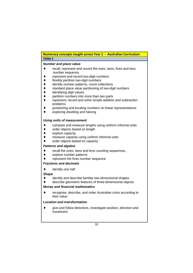# **Numeracy concepts taught across Year 1 - Australian Curriculum TERM 3**

## **Number and place value**

- ♦ recall, represent and record the ones, twos, fives and tens number sequence
- ♦ represent and record two-digit numbers
- ♦ flexibly partition two-digit numbers
- identify number patterns, count collections
- ♦ standard place value partitioning of two-digit numbers
- ♦ identifying digit values
- ♦ partition numbers into more than two parts
- ♦ represent, record and solve simple addition and subtraction problems
- positioning and locating numbers on linear representations
- ♦ exploring doubling and halving

# **Using units of measurement**

- ♦ compare and measure lengths using uniform informal units
- ♦ order objects based on length
- ♦ explore capacity
- measure capacity using uniform informal units
- order objects based on capacity

## **Patterns and algebra**

- ♦ recall the ones, twos and tens counting sequences,
- ♦ explore number patterns
- ♦ represent the fives number sequence

## **Fractions and decimals**

♦ identify one half

# **Shape**

- ♦ identify and describe familiar two-dimensional shapes
- describe geometric features of three-dimensional objects

# **Money and financial mathematics**

♦ recognise, describe, and order Australian coins according to their value

# **Location and transformation**

♦ give and follow directions, investigate position, direction and movement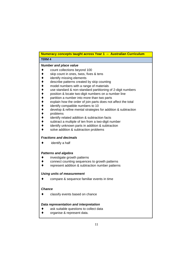| Numeracy concepts taught across Year 1 -- Australian Curriculum |                                                                                                                                                                                                                                                                                                                                                                                                                                                                                                                                                                                                                                                                                               |  |
|-----------------------------------------------------------------|-----------------------------------------------------------------------------------------------------------------------------------------------------------------------------------------------------------------------------------------------------------------------------------------------------------------------------------------------------------------------------------------------------------------------------------------------------------------------------------------------------------------------------------------------------------------------------------------------------------------------------------------------------------------------------------------------|--|
| <b>TERM 4</b>                                                   |                                                                                                                                                                                                                                                                                                                                                                                                                                                                                                                                                                                                                                                                                               |  |
|                                                                 | <b>Number and place value</b><br>count collections beyond 100<br>skip count in ones, twos, fives & tens<br>identify missing elements<br>describe patterns created by skip counting<br>model numbers with a range of materials<br>use standard & non-standard partitioning of 2-digit numbers<br>position & locate two-digit numbers on a number line<br>partition a number into more than two parts<br>explain how the order of join parts does not affect the total<br>identify compatible numbers to 10<br>develop & refine mental strategies for addition & subtraction<br>problems<br>identify related addition & subtraction facts<br>subtract a multiple of ten from a two-digit number |  |
|                                                                 | identify unknown parts in addition & subtraction<br>solve addition & subtraction problems<br><b>Fractions and decimals</b><br>identify a half                                                                                                                                                                                                                                                                                                                                                                                                                                                                                                                                                 |  |
|                                                                 | <b>Patterns and algebra</b>                                                                                                                                                                                                                                                                                                                                                                                                                                                                                                                                                                                                                                                                   |  |
|                                                                 | investigate growth patterns<br>connect counting sequences to growth patterns<br>represent addition & subtraction number patterns                                                                                                                                                                                                                                                                                                                                                                                                                                                                                                                                                              |  |
|                                                                 | <b>Using units of measurement</b>                                                                                                                                                                                                                                                                                                                                                                                                                                                                                                                                                                                                                                                             |  |
|                                                                 | compare & sequence familiar events in time                                                                                                                                                                                                                                                                                                                                                                                                                                                                                                                                                                                                                                                    |  |
| <b>Chance</b>                                                   |                                                                                                                                                                                                                                                                                                                                                                                                                                                                                                                                                                                                                                                                                               |  |
|                                                                 | classify events based on chance                                                                                                                                                                                                                                                                                                                                                                                                                                                                                                                                                                                                                                                               |  |
|                                                                 | Data representation and interpretation<br>ask suitable questions to collect data<br>organise & represent data.                                                                                                                                                                                                                                                                                                                                                                                                                                                                                                                                                                                |  |